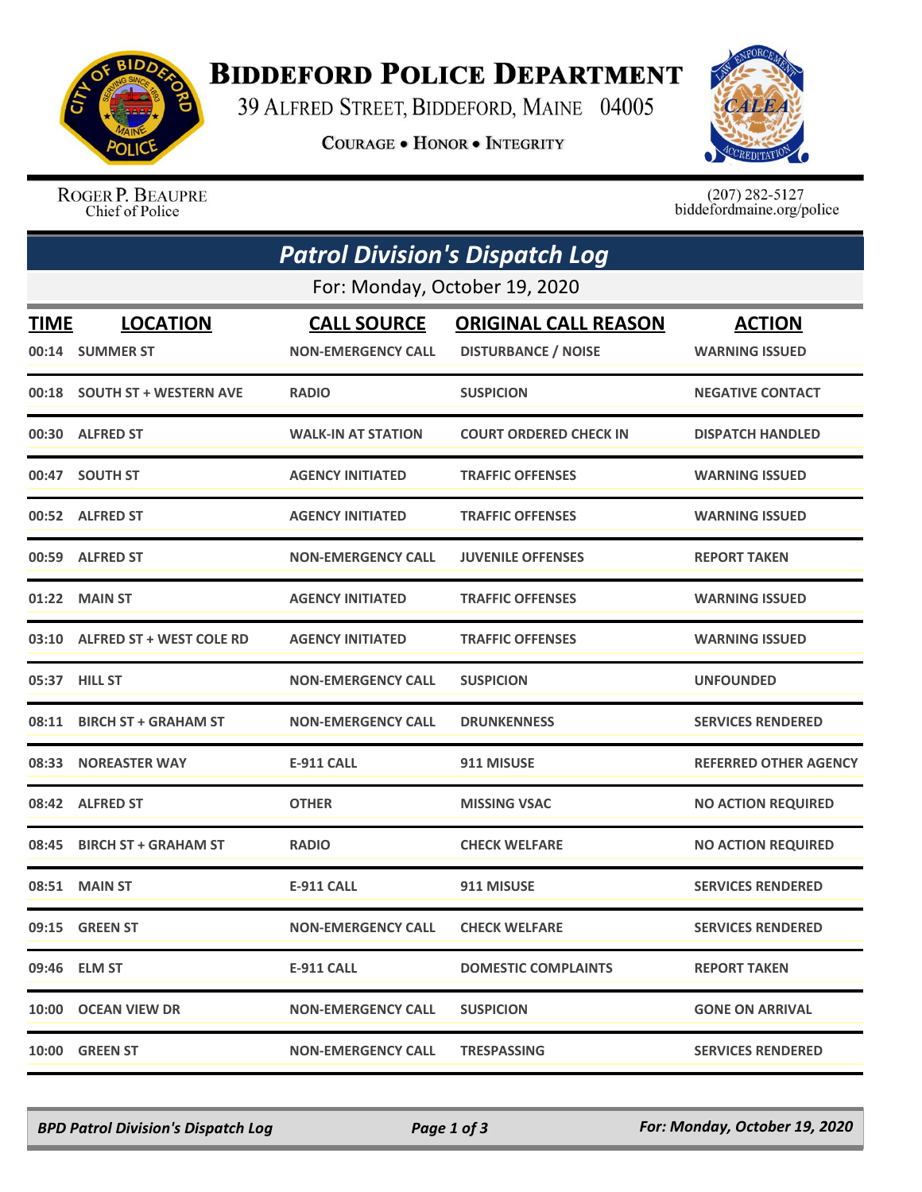

## **BIDDEFORD POLICE DEPARTMENT**

39 ALFRED STREET, BIDDEFORD, MAINE 04005

**COURAGE . HONOR . INTEGRITY** 



ROGER P. BEAUPRE Chief of Police

 $(207)$  282-5127 biddefordmaine.org/police

|                               | <b>Patrol Division's Dispatch Log</b> |                                                 |                                                           |                                        |  |  |  |
|-------------------------------|---------------------------------------|-------------------------------------------------|-----------------------------------------------------------|----------------------------------------|--|--|--|
| For: Monday, October 19, 2020 |                                       |                                                 |                                                           |                                        |  |  |  |
| <b>TIME</b>                   | <b>LOCATION</b><br>00:14 SUMMER ST    | <b>CALL SOURCE</b><br><b>NON-EMERGENCY CALL</b> | <b>ORIGINAL CALL REASON</b><br><b>DISTURBANCE / NOISE</b> | <b>ACTION</b><br><b>WARNING ISSUED</b> |  |  |  |
|                               | 00:18 SOUTH ST + WESTERN AVE          | <b>RADIO</b>                                    | <b>SUSPICION</b>                                          | <b>NEGATIVE CONTACT</b>                |  |  |  |
|                               | 00:30 ALFRED ST                       | <b>WALK-IN AT STATION</b>                       | <b>COURT ORDERED CHECK IN</b>                             | <b>DISPATCH HANDLED</b>                |  |  |  |
|                               | 00:47 SOUTH ST                        | <b>AGENCY INITIATED</b>                         | <b>TRAFFIC OFFENSES</b>                                   | <b>WARNING ISSUED</b>                  |  |  |  |
|                               | 00:52 ALFRED ST                       | <b>AGENCY INITIATED</b>                         | <b>TRAFFIC OFFENSES</b>                                   | <b>WARNING ISSUED</b>                  |  |  |  |
|                               | 00:59 ALFRED ST                       | <b>NON-EMERGENCY CALL</b>                       | <b>JUVENILE OFFENSES</b>                                  | <b>REPORT TAKEN</b>                    |  |  |  |
|                               | 01:22 MAIN ST                         | <b>AGENCY INITIATED</b>                         | <b>TRAFFIC OFFENSES</b>                                   | <b>WARNING ISSUED</b>                  |  |  |  |
|                               | 03:10 ALFRED ST + WEST COLE RD        | <b>AGENCY INITIATED</b>                         | <b>TRAFFIC OFFENSES</b>                                   | <b>WARNING ISSUED</b>                  |  |  |  |
|                               | 05:37 HILL ST                         | <b>NON-EMERGENCY CALL</b>                       | <b>SUSPICION</b>                                          | <b>UNFOUNDED</b>                       |  |  |  |
|                               | 08:11 BIRCH ST + GRAHAM ST            | <b>NON-EMERGENCY CALL</b>                       | <b>DRUNKENNESS</b>                                        | <b>SERVICES RENDERED</b>               |  |  |  |
| 08:33                         | <b>NOREASTER WAY</b>                  | <b>E-911 CALL</b>                               | 911 MISUSE                                                | <b>REFERRED OTHER AGENCY</b>           |  |  |  |
|                               | 08:42 ALFRED ST                       | <b>OTHER</b>                                    | <b>MISSING VSAC</b>                                       | <b>NO ACTION REQUIRED</b>              |  |  |  |
| 08:45                         | <b>BIRCH ST + GRAHAM ST</b>           | <b>RADIO</b>                                    | <b>CHECK WELFARE</b>                                      | <b>NO ACTION REQUIRED</b>              |  |  |  |
|                               | 08:51 MAIN ST                         | <b>E-911 CALL</b>                               | 911 MISUSE                                                | <b>SERVICES RENDERED</b>               |  |  |  |
|                               | 09:15 GREEN ST                        | <b>NON-EMERGENCY CALL</b>                       | <b>CHECK WELFARE</b>                                      | <b>SERVICES RENDERED</b>               |  |  |  |
|                               | 09:46 ELM ST                          | E-911 CALL                                      | <b>DOMESTIC COMPLAINTS</b>                                | <b>REPORT TAKEN</b>                    |  |  |  |
|                               | 10:00 OCEAN VIEW DR                   | <b>NON-EMERGENCY CALL</b>                       | <b>SUSPICION</b>                                          | <b>GONE ON ARRIVAL</b>                 |  |  |  |
|                               | 10:00 GREEN ST                        | <b>NON-EMERGENCY CALL</b>                       | <b>TRESPASSING</b>                                        | <b>SERVICES RENDERED</b>               |  |  |  |

*BPD Patrol Division's Dispatch Log Page 1 of 3 For: Monday, October 19, 2020*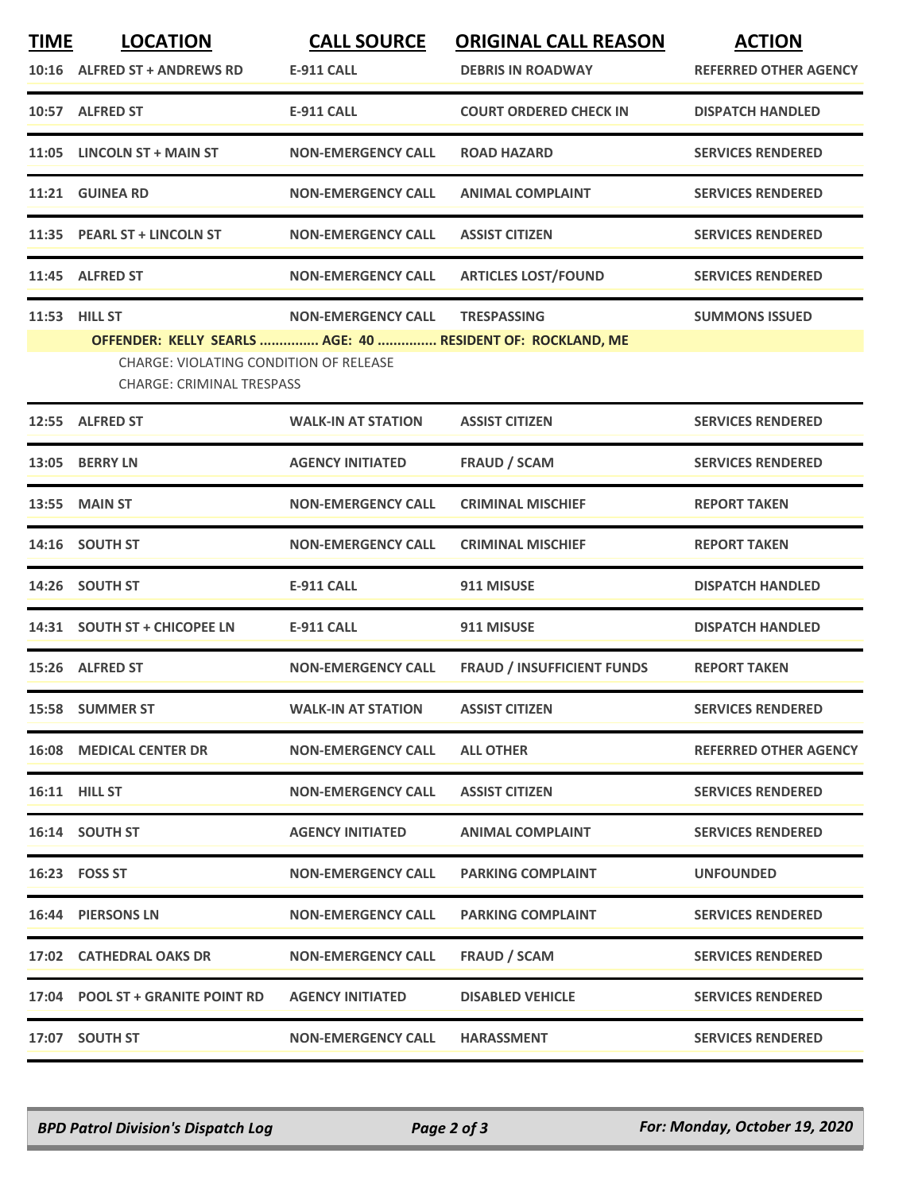| <b>TIME</b> | <b>LOCATION</b>                                                                                                                                 | <b>CALL SOURCE</b>        | <b>ORIGINAL CALL REASON</b>       | <b>ACTION</b>                |
|-------------|-------------------------------------------------------------------------------------------------------------------------------------------------|---------------------------|-----------------------------------|------------------------------|
|             | 10:16 ALFRED ST + ANDREWS RD                                                                                                                    | <b>E-911 CALL</b>         | <b>DEBRIS IN ROADWAY</b>          | <b>REFERRED OTHER AGENCY</b> |
|             | 10:57 ALFRED ST                                                                                                                                 | <b>E-911 CALL</b>         | <b>COURT ORDERED CHECK IN</b>     | <b>DISPATCH HANDLED</b>      |
| 11:05       | <b>LINCOLN ST + MAIN ST</b>                                                                                                                     | <b>NON-EMERGENCY CALL</b> | <b>ROAD HAZARD</b>                | <b>SERVICES RENDERED</b>     |
|             | 11:21 GUINEA RD                                                                                                                                 | <b>NON-EMERGENCY CALL</b> | <b>ANIMAL COMPLAINT</b>           | <b>SERVICES RENDERED</b>     |
|             | 11:35 PEARL ST + LINCOLN ST                                                                                                                     | <b>NON-EMERGENCY CALL</b> | <b>ASSIST CITIZEN</b>             | <b>SERVICES RENDERED</b>     |
|             | 11:45 ALFRED ST                                                                                                                                 | <b>NON-EMERGENCY CALL</b> | <b>ARTICLES LOST/FOUND</b>        | <b>SERVICES RENDERED</b>     |
| 11:53       | <b>HILL ST</b>                                                                                                                                  | <b>NON-EMERGENCY CALL</b> | <b>TRESPASSING</b>                | <b>SUMMONS ISSUED</b>        |
|             | OFFENDER: KELLY SEARLS  AGE: 40  RESIDENT OF: ROCKLAND, ME<br><b>CHARGE: VIOLATING CONDITION OF RELEASE</b><br><b>CHARGE: CRIMINAL TRESPASS</b> |                           |                                   |                              |
|             | 12:55 ALFRED ST                                                                                                                                 | <b>WALK-IN AT STATION</b> | <b>ASSIST CITIZEN</b>             | <b>SERVICES RENDERED</b>     |
| 13:05       | <b>BERRY LN</b>                                                                                                                                 | <b>AGENCY INITIATED</b>   | <b>FRAUD / SCAM</b>               | <b>SERVICES RENDERED</b>     |
|             | <b>13:55 MAIN ST</b>                                                                                                                            | <b>NON-EMERGENCY CALL</b> | <b>CRIMINAL MISCHIEF</b>          | <b>REPORT TAKEN</b>          |
|             | 14:16 SOUTH ST                                                                                                                                  | <b>NON-EMERGENCY CALL</b> | <b>CRIMINAL MISCHIEF</b>          | <b>REPORT TAKEN</b>          |
| 14:26       | <b>SOUTH ST</b>                                                                                                                                 | <b>E-911 CALL</b>         | 911 MISUSE                        | <b>DISPATCH HANDLED</b>      |
|             | 14:31 SOUTH ST + CHICOPEE LN                                                                                                                    | <b>E-911 CALL</b>         | 911 MISUSE                        | <b>DISPATCH HANDLED</b>      |
|             | 15:26 ALFRED ST                                                                                                                                 | <b>NON-EMERGENCY CALL</b> | <b>FRAUD / INSUFFICIENT FUNDS</b> | <b>REPORT TAKEN</b>          |
|             | 15:58 SUMMER ST                                                                                                                                 | <b>WALK-IN AT STATION</b> | <b>ASSIST CITIZEN</b>             | <b>SERVICES RENDERED</b>     |
|             | <b>16:08 MEDICAL CENTER DR</b>                                                                                                                  | <b>NON-EMERGENCY CALL</b> | <b>ALL OTHER</b>                  | <b>REFERRED OTHER AGENCY</b> |
|             | <b>16:11 HILL ST</b>                                                                                                                            | <b>NON-EMERGENCY CALL</b> | <b>ASSIST CITIZEN</b>             | <b>SERVICES RENDERED</b>     |
|             | 16:14 SOUTH ST                                                                                                                                  | <b>AGENCY INITIATED</b>   | <b>ANIMAL COMPLAINT</b>           | <b>SERVICES RENDERED</b>     |
|             | 16:23    FOSS ST                                                                                                                                | <b>NON-EMERGENCY CALL</b> | <b>PARKING COMPLAINT</b>          | <b>UNFOUNDED</b>             |
|             | <b>16:44 PIERSONS LN</b>                                                                                                                        | <b>NON-EMERGENCY CALL</b> | <b>PARKING COMPLAINT</b>          | <b>SERVICES RENDERED</b>     |
|             | 17:02 CATHEDRAL OAKS DR                                                                                                                         | <b>NON-EMERGENCY CALL</b> | FRAUD / SCAM                      | <b>SERVICES RENDERED</b>     |
|             | 17:04 POOL ST + GRANITE POINT RD                                                                                                                | <b>AGENCY INITIATED</b>   | <b>DISABLED VEHICLE</b>           | <b>SERVICES RENDERED</b>     |
|             | 17:07 SOUTH ST                                                                                                                                  | <b>NON-EMERGENCY CALL</b> | <b>HARASSMENT</b>                 | <b>SERVICES RENDERED</b>     |